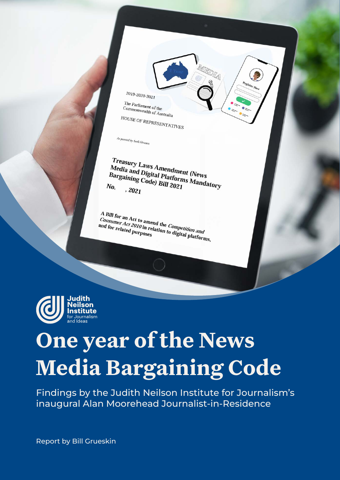

The Parliament of the<br>Commonwealth <sup>1</sup> The Parliament of the<br>Commonwealth of Australia

HOUSE OF REPRESENTATIVES

As passed by both Houses

*Treasury Laws Amendment (News<br>Media and Digital Platforms Mews*<br><sup>Bargaining Cod Matforms M</sup> *Treasury Laws Amendment (News)<br>Media and Digital Platforms Mandatory*<br>Bargaining Code) Bill 2021<br>Vo. , 2021 Bargaining Code) Bill 2021<br>No. 2021<br>No. 2021 No.  $, 2021$ 

A Bill for an Act to amend the *Competition and*<br>*Consumer Act 2010 i*n relation to *Competition and*<br>and for related purposes <sup>A</sup> Bill for an Act to amend the *Competition and*<br>*Consumer Act 2010* in relation to digital platforms,<br>and for related purposes consumer Act 2010 in related<br>and for related purposes



## **One year of the News Media Bargaining Code**

Findings by the Judith Neilson Institute for Journalism's inaugural Alan Moorehead Journalist-in-Residence

Report by Bill Grueskin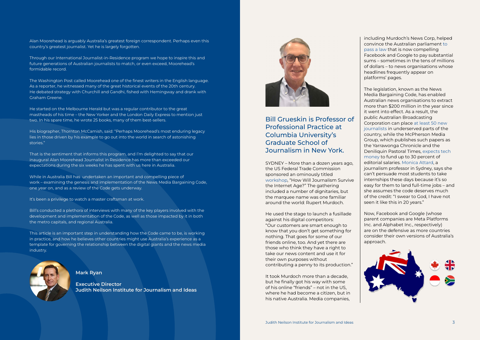Bill Grueskin is Professor of Professional Practice at Columbia University's Graduate School of Journalism in New York.

SYDNEY – More than a dozen years ago, the US Federal Trade Commission sponsored an ominously titled [workshop,](https://www.ftc.gov/sites/default/files/documents/public_events/how-will-journalism-survive-internet-age/091201transcript.pdf) "How Will Journalism Survive the Internet Age?" The gathering included a number of dignitaries, but the marquee name was one familiar around the world: Rupert Murdoch.

He used the stage to launch a fusillade against his digital competitors: "Our customers are smart enough to know that you don't get something for nothing. That goes for some of our friends online, too. And yet there are those who think they have a right to take our news content and use it for their own purposes without contributing a penny to its production."

It took Murdoch more than a decade, but he finally got his way with some of his online "friends" – not in the US, where he had become a citizen, but in his native Australia. Media companies,

including Murdoch's News Corp, helped convince the Australian parliament [to](https://ministers.treasury.gov.au/ministers/josh-frydenberg-2018/media-releases/parliament-passes-news-media-and-digital-platforms)  [pass a law](https://ministers.treasury.gov.au/ministers/josh-frydenberg-2018/media-releases/parliament-passes-news-media-and-digital-platforms) that is now compelling Facebook and Google to pay substantial sums – sometimes in the tens of millions of dollars – to news organisations whose headlines frequently appear on platforms' pages.

The legislation, known as the News Media Bargaining Code, has enabled Australian news organisations to extract more than \$200 million in the year since it went into effect. As a result, the public Australian Broadcasting Corporation can place [at least 50 new](https://about.abc.net.au/press-releases/abc-to-add-more-than-50-journalists-in-regional-australia/)  [journalists](https://about.abc.net.au/press-releases/abc-to-add-more-than-50-journalists-in-regional-australia/) in underserved parts of the country, while the McPherson Media Group, which publishes such papers as the Yarrawonga Chronicle and the Deniliquin Pastoral Times, [expects tech](https://www.aph.gov.au/DocumentStore.ashx?id=8a3c8ae4-f0f4-43b4-a9d0-a03b11a5fe06&subId=719769)  [money](https://www.aph.gov.au/DocumentStore.ashx?id=8a3c8ae4-f0f4-43b4-a9d0-a03b11a5fe06&subId=719769) to fund up to 30 percent of editorial salaries. [Monica Attard,](https://profiles.uts.edu.au/Monica.Attard) a journalism professor in Sydney, says she can't persuade most students to take internships these days because it's so easy for them to land full-time jobs – and she assumes the code deserves much of the credit: "I swear to God, I have not seen it like this in 20 years."

Now, Facebook and Google (whose parent companies are Meta Platforms Inc. and Alphabet Inc., respectively) are on the defensive as more countries consider their own versions of Australia's approach.



Mark Ryan

Executive Director Judith Neilson Institute for Journalism and Ideas



Alan Moorehead is arguably Australia's greatest foreign correspondent. Perhaps even this country's greatest journalist. Yet he is largely forgotten.

Through our International Journalist-in-Residence program we hope to inspire this and future generations of Australian journalists to match, or even exceed, Moorehead's formidable record.

The Washington Post called Moorehead one of the finest writers in the English language. As a reporter, he witnessed many of the great historical events of the 20th century. He debated strategy with Churchill and Gandhi, fished with Hemingway and drank with Graham Greene.

He started on the Melbourne Herald but was a regular contributor to the great mastheads of his time – the New Yorker and the London Daily Express to mention just two. In his spare time, he wrote 25 books, many of them best-sellers.

His biographer, Thornton McCamish, said: "Perhaps Moorehead's most enduring legacy lies in those driven by his example to go out into the world in search of astonishing stories."

That is the sentiment that informs this program, and I'm delighted to say that our inaugural Alan Moorehead Journalist in Residence has more than exceeded our expectations during the six weeks he has spent with us here in Australia.

While in Australia Bill has undertaken an important and compelling piece of work – examining the genesis and implementation of the News Media Bargaining Code, one year on, and as a review of the Code gets underway.

It's been a privilege to watch a master craftsman at work.

Bill's conducted a plethora of interviews with many of the key players involved with the development and implementation of the Code, as well as those impacted by it in both the metro capitals, and regional Australia.

This article is an important step in understanding how the Code came to be, is working in practice, and how he believes other countries might use Australia's experience as a template for governing the relationship between the digital giants and the news media industry.

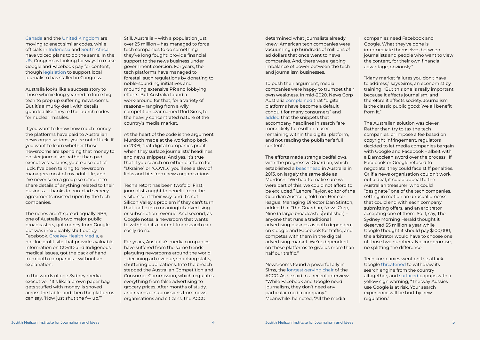[Canada](https://pm.gc.ca/en/mandate-letters/2021/12/16/minister-canadian-heritage-mandate-letter) and the [United Kingdom](https://assets.publishing.service.gov.uk/government/uploads/system/uploads/attachment_data/file/1003913/Digital_Competition_Consultation_v2.pdf) are moving to enact similar codes, while officials in [Indonesia](https://www.reuters.com/technology/indonesia-mulls-media-bill-seeking-fairer-share-big-tech-2021-11-23/) and [South Africa](https://europe.columbia.edu/news/should-other-countries-copy-australias-news-media-bargaining-code) have voiced plans to do the same. In the [US,](https://www.congress.gov/117/bills/s673/BILLS-117s673is.xml) Congress is looking for ways to make Google and Facebook pay for content, though [legislation](https://www.congress.gov/117/bills/hr5376/BILLS-117hr5376rh.pdf) to support local journalism has stalled in Congress.

Australia looks like a success story to those who've long yearned to force big tech to prop up suffering newsrooms. But it's a murky deal, with details guarded like they're the launch codes for nuclear missiles.

If you want to know how much money the platforms have paid to Australian news organisations, you're out of luck. If you want to learn whether those newsrooms are spending that money to bolster journalism, rather than pad executives' salaries, you're also out of luck. I've been talking to newsroom managers most of my adult life, and I've never seen a group so reticent to share details of anything related to their business – thanks to iron-clad secrecy agreements insisted upon by the tech companies.

The riches aren't spread equally. SBS, one of Australia's two major public broadcasters, got money from Google but was inexplicably shut out by Facebook. [Croakey Health Media](https://www.croakey.org/about-croakey-health-media/), a not-for-profit site that provides valuable information on COVID and Indigenous medical issues, got the back of hand from both companies – without an explanation.

In the words of one Sydney media executive, "It's like a brown paper bag gets stuffed with money, is shoved across the table, and then the platforms can say, 'Now just shut the f— up.'"

Still, Australia – with a population just over 25 million – has managed to force tech companies to do something they've long fought: provide financial support to the news business under government coercion. For years, the tech platforms have managed to forestall such regulations by donating to noble-sounding initiatives and mounting extensive PR and lobbying efforts. But Australia found a work-around for that, for a variety of reasons – ranging from a wily competition czar named Rod Sims, to the heavily concentrated nature of the country's media market.

At the heart of the code is the argument Murdoch made at the workshop back in 2009, that digital companies profit when they surface journalists' headlines and news snippets. And yes, it's true that if you search on either platform for "Ukraine" or "COVID," you'll see a slew of links and bits from news organisations.

Tech's retort has been twofold: First, journalists ought to benefit from the visitors sent their way, and it's not Silicon Valley's problem if they can't turn that traffic into meaningful advertising or subscription revenue. And second, as Google notes, a newsroom that wants to withhold its content from search can easily do so.

For years, Australia's media companies have suffered from the same trends plaguing newsrooms around the world – declining ad revenue, shrinking staffs, shuttering publications. Into the breach stepped the Australian Competition and Consumer Commission, which regulates everything from false advertising to grocery prices. After months of study, and reams of submissions from news organisations and citizens, the ACCC

determined what journalists already knew: American tech companies were vacuuming up hundreds of millions of ad dollars that once went to news companies. And, there was a gaping imbalance of power between the tech and journalism businesses.

To push their argument, media companies were happy to trumpet their own weakness. In mid-2020, News Corp Australia [complained](https://www.aph.gov.au/DocumentStore.ashx?id=2385da03-1a92-407d-9d46-9702b788a8bd&subId=700130) that "digital platforms have become a default conduit for many consumers" and [added](https://www.aph.gov.au/DocumentStore.ashx?id=6e5f86f6-98a8-4bcb-b152-efcf5939807d&subId=700130) that the snippets that accompany headlines in search "are more likely to result in a user remaining within the digital platform, and not reading the publisher's full content."

The efforts made strange bedfellows, with the progressive Guardian, which established a [beachhead](https://www.theguardian.com/media/2013/may/26/guardian-australia-launch-julia-gillard) in Australia in 2013, on largely the same side as Murdoch. "We had to make sure we were part of this; we could not afford to be excluded," Lenore Taylor, editor of the Guardian Australia, told me. Her colleague, Managing Director Dan Stinton, added that "the Guardian, News Corp, Nine (a large broadcaster/publisher) – anyone that runs a traditional advertising business is both dependent on Google and Facebook for traffic, and competes with them in the digital advertising market. We're dependent on these platforms to give us more than half our traffic."

Newsrooms found a powerful ally in Sims, the [longest-serving chair](https://www.accc.gov.au/about-us/australian-competition-consumer-commission/accc-chair-commissioners) of the ACCC. As he said in a recent interview, "While Facebook and Google need journalism, they don't need any particular media company." Meanwhile, he noted, "All the media

companies need Facebook and Google. What they've done is intermediate themselves between journalists and people who want to view the content, for their own financial advantage, obviously."

"Many market failures you don't have to address," says Sims, an economist by training. "But this one is really important because it affects journalism, and therefore it affects society. Journalism is the classic public good: We all benefit from it."

The Australian solution was clever. Rather than try to tax the tech companies, or impose a fee based on copyright infringement, regulators decided to let media companies bargain with Google and Facebook – albeit with a Damoclean sword over the process. If Facebook or Google refused to negotiate, they could face stiff penalties. Or if a news organisation couldn't work out a deal, it could appeal to the Australian treasurer, who could "designate'' one of the tech companies, setting in motion an unusual process that could end with each company submitting offers, and an arbitrator accepting one of them. So if, say, The Sydney Morning Herald thought it deserved \$5 million a year while Google thought it should pay \$100,000, the arbitrator would have to choose one of those two numbers. No compromise, no splitting the difference.

Tech companies went on the attack. Google [threatened](https://www.bbc.com/news/world-australia-55760673) to withdraw its search engine from the country altogether, and [surfaced](https://newsinasia.jninstitute.org/chapter/the-grand-bargain-australias-news-media-bargaining-code/) popups with a yellow sign warning, "The way Aussies use Google is at risk. Your search experience will be hurt by new regulation."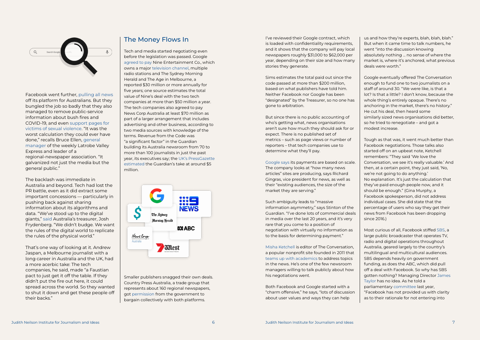

Facebook went further, [pulling all news](https://www.theguardian.com/media/2021/feb/18/facebooks-australia-news-ban-what-is-the-social-media-giant-up-to-and-how-will-you-be-affected) off its platform for Australians. But they bungled the job so badly that they also managed to remove public-service information about bush fires and COVID-19, and even [support pages for](https://www.abc.net.au/news/2021-02-18/bom-health-authorities-betoota-caught-in-facebook-news-ban/13166394)  [victims of sexual violence](https://www.abc.net.au/news/2021-02-18/bom-health-authorities-betoota-caught-in-facebook-news-ban/13166394). "It was the worst calculation they could ever have done," recalls Bruce Ellen, [general](https://latrobevalleyexpress.com.au/contact/)  [manager](https://latrobevalleyexpress.com.au/contact/) of the weekly Latrobe Valley Express and leader of a regional-newspaper association. "It galvanized not just the media but the general public."

The backlash was immediate in Australia and beyond. Tech had lost the PR battle, even as it did extract some important concessions — particularly in pushing back against sharing information about its algorithms and data. "We've stood up to the digital giants," [said](https://www.facebook.com/watch/?v=270250804542536) Australia's treasurer, Josh Frydenberg. "We didn't budge. We want the rules of the digital world to replicate the rules of the physical world."

That's one way of looking at it. Andrew Jaspan, a Melbourne journalist with a long career in Australia and the UK, had a more acerbic take: The tech companies, he said, made "a Faustian pact to just get it off the table. If they didn't put the fire out here, it could spread across the world. So they wanted to shut it down and get these people off their backs."

The Money Flows In Its and I've reviewed their Google contract, which is loaded with confidentiality requirements, and it shows that the company will pay local newspapers roughly \$31,000 to \$62,000 per year, depending on their size and how many stories they generate.

Tech and media started negotiating even before the legislation was passed. Google [agreed to pay](https://www.smh.com.au/business/companies/google-nine-agree-commercial-terms-for-news-content-20210217-p5736c.html) Nine Entertainment Co., which owns a major [television channel,](https://www.nineforbrands.com.au/branding/) multiple radio stations and The Sydney Morning Herald and The Age in Melbourne, a reported \$30 million or more annually for five years; one source estimates the total value of Nine's deal with the two tech companies at more than \$50 million a year. The tech companies also agreed to pay News Corp Australia at least \$70 million as part of a larger arrangement that includes advertising and other business, according to two media sources with knowledge of the terms. Revenue from the Code was "a significant factor" in the Guardian building its Australia newsroom from 70 to more than 100 journalists in just the past year, its executives say; the [UK's PressGazette](https://pressgazette.co.uk/google-news-showcase/)  [estimated](https://pressgazette.co.uk/google-news-showcase/) the Guardian's take at around \$5 million.



Smaller publishers snagged their own deals. Country Press Australia, a trade group that represents about 160 regional newspapers, got [permission](https://www.afr.com/companies/media-and-marketing/accc-boss-welcomes-guardian-and-country-press-facebook-deals-20210702-p586bg) from the government to bargain collectively with both platforms.

Sims estimates the total paid out since the code passed at more than \$200 million, based on what publishers have told him. Neither Facebook nor Google has been "designated" by the Treasurer, so no one has gone to arbitration.

But since there is no public accounting of who's getting what, news organisations aren't sure how much they should ask for or expect. There is no published set of metrics – such as page views or number of reporters – that tech companies use to determine what they'll pay.

[Google says](https://www.youtube.com/watch?v=5F0ZINdIauQ) its payments are based on scale. The company looks at "how many news articles" sites are producing, says Richard Gingras, vice president for news, as well as their "existing audiences, the size of the market they are serving."

Such ambiguity leads to "massive information asymmetry," says Stinton of the Guardian. "I've done lots of commercial deals in media over the last 20 years, and it's very rare that you come to a position of negotiation with virtually no information as to the basis for determining payment."

[Misha Ketchell](https://theconversation.com/profiles/misha-ketchell-13) is editor of The Conversation, a popular nonprofit site founded in 2011 that [teams up with academics](https://theconversation.com/us/who-we-are) to address topics in the news. He's one of the few newsroom managers willing to talk publicly about how his negotiations went.

Both Facebook and Google started with a "charm offensive," he says, "lots of discussion about user values and ways they can help

us and how they're experts, blah, blah, blah." But when it came time to talk numbers, he went "into the discussion knowing absolutely nothing ... no sense of where the market is, where it's anchored, what previous deals were worth."

Google eventually offered The Conversation enough to fund one to two journalists on a staff of around 30. "We were like, is that a lot? Is that a little? I don't know, because the whole thing's entirely opaque. There's no anchoring in the market, there's no history." He cut his deal, then heard some similarly sized news organisations did better, so he tried to renegotiate – and got a modest increase.

Tough as that was, it went much better than Facebook negotiations. Those talks also started off on an upbeat note, Ketchell remembers: "They said 'We love the Conversation, we see it's really valuable.' And then, at a certain point, they just said, 'No, we're not going to do anything.' No explanation. It's just the calculation that they've paid enough people now, and it should be enough." (Gina Murphy, a Facebook spokesperson, did not address individual cases. She did state that the percentage of users who say they get their news from Facebook has been dropping since 2016.)

Most curious of all, Facebook stiffed [SBS](https://www.sbs.com.au/aboutus/who-we-are), a large public broadcaster that operates TV, radio and digital operations throughout Australia, geared largely to the country's multilingual and multicultural audiences. SBS depends heavily on government funding, as does the ABC, which did pull off a deal with Facebook. So why has SBS gotten nothing? Managing Director [James](https://www.sbs.com.au/aboutus/person/james-taylor)  [Taylor](https://www.sbs.com.au/aboutus/person/james-taylor) has no idea. As he told a parliamentary [committee](https://parlview.aph.gov.au/mediaPlayer.php?videoID=562315) last year, "Facebook has not provided us with clarity as to their rationale for not entering into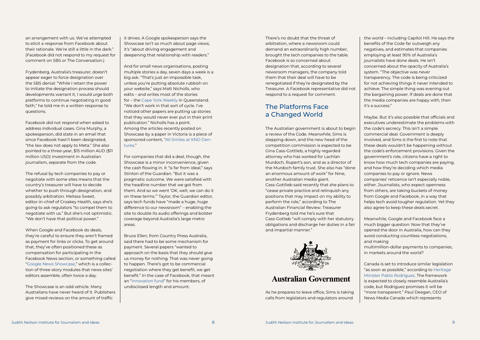There's no doubt that the threat of arbitration, where a newsroom could demand an extraordinarily high number, brought the tech companies to the table. Facebook is so concerned about designation that, according to several newsroom managers, the company told them that their deal will have to be renegotiated if they're designated by the Treasurer. A Facebook representative did not respond to a request for comment.

The Australian government is about to begin a review of the Code. Meanwhile, Sims is stepping down, and the new head of the competition commission is expected to be Gina Cass-Gottlieb, a highly regarded attorney who has worked for Lachlan Murdoch, Rupert's son, and as a director of the Murdoch family trust. She also has "done an enormous amount of work" for Nine, another Australian media giant. Cass-Gottlieb said recently that she plans to "cease private practice and relinquish any positions that may impact on my ability to perform the role," according to The Australian Financial Review. Treasurer Frydenberg told me he's sure that Cass-Gotlieb "will comply with her statutory obligations and discharge her duties in a fair and impartial manner."



## **Australian Government**

As he prepares to leave office, Sims is taking calls from legislators and regulators around

an arrangement with us. We've attempted to elicit a response from Facebook about their rationale. We're still a little in the dark." (Facebook did not respond to my request for comment on SBS or The Conversation.)

Frydenberg, Australia's treasurer, doesn't appear eager to force designation over the SBS denial: "While I retain the power to initiate the designation process should developments warrant it, I would urge both platforms to continue negotiating in good faith," he told me in a written response to questions.

Facebook did not respond when asked to address individual cases. Gina Murphy, a spokesperson, did state in an email that since Facebook hasn't been designated, "the law does not apply to Meta." She also pointed to a three-year, \$15 million AUD (\$11 million USD) investment in Australian journalism, separate from the code.

The refusal by tech companies to pay or negotiate with some sites means that the country's treasurer will have to decide whether to push through designation, and possibly arbitration. Melissa Sweet, editor-in-chief of Croakey Health, says she's going to ask regulators "to compel them to negotiate with us." But she's not optimistic. "We don't have that political power."

When Google and Facebook do deals, they're careful to ensure they aren't framed as payment for links or clicks. To get around that, they've often positioned these as compensation for participating in the Facebook News section, or something called ["Google News Showcase,](https://news.google.com/showcase?hl=en-AU&gl=AU&ceid=AU:en)" which is a collection of three-story modules that news sites' editors assemble, often twice a day.

The Showcase is an odd vehicle. Many Australians have never heard of it. Publishers give mixed reviews on the amount of traffic

it drives. A Google spokesperson says the Showcase isn't so much about page views; it's "about driving engagement and deepening that relationship with readers."

And for small news organisations, posting multiple stories a day, seven days a week is a big ask. "That's just an impossible task, unless you're putting absolute rubbish on your website," says Matt Nicholls, who edits – and writes most of the stories for – the [Cape York Weekly](https://www.capeyorkweekly.com.au) in Queensland. "We don't work in that sort of cycle. I've noticed other papers are putting up stories that they would never ever put in their print publication." Nicholls has a point. Among the articles recently posted on Showcase by a paper in Victoria is a piece of sponsored content, ["All Smiles at KND Den](https://brimbanknorthwest.starweekly.com.au/in-business/all-smiles-at-knd-dentures/?utm_source=newsshowcase&utm_medium=gnews&utm_campaign=CDAQsJH14IqVxbVEGMn9oLS114abmQEqEAgAKgcICjDp6KkLMNvzwQM&utm_content=rundown)[tures](https://brimbanknorthwest.starweekly.com.au/in-business/all-smiles-at-knd-dentures/?utm_source=newsshowcase&utm_medium=gnews&utm_campaign=CDAQsJH14IqVxbVEGMn9oLS114abmQEqEAgAKgcICjDp6KkLMNvzwQM&utm_content=rundown)."

For companies that did a deal, though, the Showcase is a minor inconvenience, given the cash flowing in. It "is far from ideal," says Stinton of the Guardian. "But it was a pragmatic outcome. We were satisfied with the headline number that we got from them. And so we went 'OK, well, we can do it on these terms.'" Taylor, the Guardian editor, says tech funds have "made a huge, huge difference to our newsroom" – enabling the site to double its audio offerings and bolster coverage beyond Australia's large metro areas.

Bruce Ellen, from Country Press Australia, said there had to be some mechanism for payment. Several papers "wanted to approach on the basis that they should give us money for nothing. That was never going to happen. There's got to be commercial negotiation where they get benefit, we get benefit." In the case of Facebook, that meant an "[innovation fund](https://www.reuters.com/technology/facebook-set-finance-regional-australia-newspaper-fund-2021-07-02/)" for his members, of undisclosed length and amount.

the world – including Capitol Hill. He says the benefits of the Code far outweigh any negatives, and estimates that companies employing at least 90% of Australia's journalists have done deals. He isn't concerned about the opacity of Australia's system. "The objective was never transparency. The code is being criticized for not achieving things it never intended to achieve. The simple thing was evening out the bargaining power. If deals are done that the media companies are happy with, then it's a success."

Maybe. But it's also possible that officials and executives underestimate the problems with the code's secrecy. This isn't a simple commercial deal. Government is deeply involved, and Sims is the first to note that these deals wouldn't be happening without the code's enforcement provisions. Given the government's role, citizens have a right to know how much tech companies are paying, and how they're deciding which media companies to pay or ignore. News companies' reticence isn't especially noble, either. Journalists, who expect openness from others, are taking buckets of money from Google and Facebook, in a way that helps tech avoid tougher regulation. Yet they also agree to keep these deals secret.

Meanwhile, Google and Facebook face a much bigger question: Now that they've opened the door in Australia, how can they avoid conducting countless negotiations, and making

multimillion-dollar payments to companies, in markets around the world?

Canada is set to introduce similar legislation "as soon as possible," according to [Heritage](https://www.youtube.com/watch?v=5F0ZINdIauQ)  [Minister Pablo Rodriguez.](https://www.youtube.com/watch?v=5F0ZINdIauQ) The framework is expected to closely resemble Australia's code, but Rodriguez promises it will be "more transparent." Paul Deegan, CEO of News Media Canada which represents

## The Platforms Face a Changed World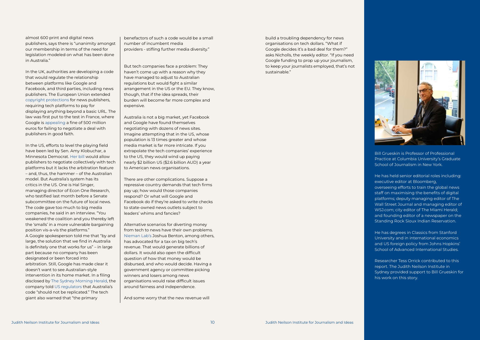

almost 600 print and digital news publishers, says there is "unanimity amongst our membership in terms of the need for legislation modeled on what has been done in Australia."

In the UK, authorities are developing a code that would regulate the relationship between platforms like Google and Facebook, and third parties, including news publishers. The European Union extended [copyright protections](https://eur-lex.europa.eu/legal-content/EN/TXT/HTML/?uri=CELEX:32019L0790&from=EN) for news publishers, requiring tech platforms to pay for displaying anything beyond a basic URL. The law was first put to the test in France, where Google is [appealing](https://www.theguardian.com/technology/2021/sep/01/google-appeals-500m-french-fine-in-dispute-over-news-copyright) a fine of 500 million euros for failing to negotiate a deal with publishers in good faith.

In the US, efforts to level the playing field have been led by Sen. Amy Klobuchar, a Minnesota Democrat. [Her bill](https://www.congress.gov/bill/117th-congress/senate-bill/673) would allow publishers to negotiate collectively with tech platforms but it lacks the arbitration feature – and, thus, the hammer – of the Australian model. But Australia's system has its critics in the US. One is Hal Singer, managing director of Econ One Research, who testified last month before a Senate subcommittee on the future of local news. The code gave too much to big media companies, he said in an interview. "You weakened the coalition and you thereby left the 'smalls' in a more vulnerable bargaining position vis-a-vis the platforms." A Google spokesperson told me that "by and large, the solution that we find in Australia is definitely one that works for us" – in large part because no company has been designated or been forced into arbitration. Still, Google has made clear it doesn't want to see Australian-style intervention in its home market. In a filing disclosed by [The Sydney Morning Herald,](https://www.smh.com.au/business/companies/google-hits-out-at-australian-media-code-as-us-reviews-laws-20220204-p59u03.html) the company told [US regulators](https://www.copyright.gov/policy/publishersprotections/initial-comments/Google%20-%20Initial%20Comment.pdf) that Australia's code "should not be replicated." The tech giant also warned that "the primary

benefactors of such a code would be a small number of incumbent media providers - stifling further media diversity."

But tech companies face a problem: They haven't come up with a reason why they have managed to adjust to Australian regulations but would fight a similar arrangement in the US or the EU. They know, though, that if the idea spreads, their burden will become far more complex and expensive.

Australia is not a big market, yet Facebook and Google have found themselves negotiating with dozens of news sites. Imagine attempting that in the US, whose population is 13 times greater and whose media market is far more intricate. If you extrapolate the tech companies' experience to the US, they would wind up paying nearly \$2 billion US (\$2.6 billion AUD) a year to American news organisations.

There are other complications. Suppose a repressive country demands that tech firms pay up; how would those companies respond? Or what will Google and Facebook do if they're asked to write checks to state-owned news outlets subject to leaders' whims and fancies?

Alternative scenarios for diverting money from tech to news have their own problems. [Nieman Lab's](https://www.niemanlab.org/2022/02/australias-latest-export-is-bad-media-policy-and-its-spreading-fast/) Joshua Benton, among others, has advocated for a tax on big tech's revenue. That would generate billions of dollars. It would also open the difficult question of how that money would be disbursed, and who would decide. Having a government agency or committee picking winners and losers among news organisations would raise difficult issues around fairness and independence.

And some worry that the new revenue will

build a troubling dependency for news organisations on tech dollars. "What if Google decides it's a bad deal for them?" asks Nicholls, the weekly editor. "If you need Google funding to prop up your journalism, to keep your journalists employed, that's not sustainable."

Bill Grueskin is Professor of Professional Practice at Columbia University's Graduate School of Journalism in New York.

He has held senior editorial roles including: executive editor at Bloomberg, overseeing efforts to train the global news staff on maximising the benefits of digital platforms; deputy managing editor of The Wall Street Journal and managing editor of WSJ.com; city editor of The Miami Herald; and founding editor of a newspaper on the Standing Rock Sioux Indian Reservation.

He has degrees in Classics from Stanford University and in international economics and US foreign policy from Johns Hopkins' School of Advanced International Studies.

Researcher Tess Orrick contributed to this report. The Judith Neilson Institute in Sydney provided support to Bill Grueskin for his work on this story.